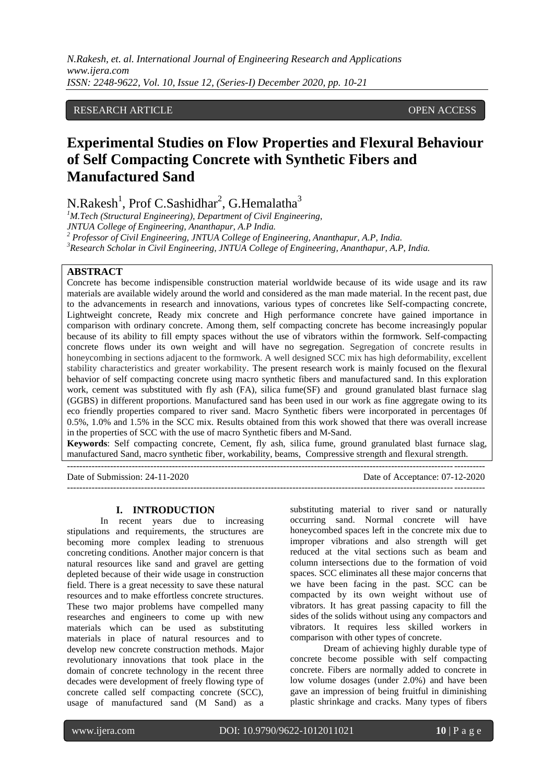*N.Rakesh, et. al. International Journal of Engineering Research and Applications www.ijera.com ISSN: 2248-9622, Vol. 10, Issue 12, (Series-I) December 2020, pp. 10-21*

#### RESEARCH ARTICLE **OPEN ACCESS**

# **Experimental Studies on Flow Properties and Flexural Behaviour of Self Compacting Concrete with Synthetic Fibers and Manufactured Sand**

N.Rakesh<sup>1</sup>, Prof C.Sashidhar<sup>2</sup>, G.Hemalatha<sup>3</sup>

*M.Tech (Structural Engineering), Department of Civil Engineering, JNTUA College of Engineering, Ananthapur, A.P India. Professor of Civil Engineering, JNTUA College of Engineering, Ananthapur, A.P, India. Research Scholar in Civil Engineering, JNTUA College of Engineering, Ananthapur, A.P, India.*

#### **ABSTRACT**

Concrete has become indispensible construction material worldwide because of its wide usage and its raw materials are available widely around the world and considered as the man made material. In the recent past, due to the advancements in research and innovations, various types of concretes like Self-compacting concrete, Lightweight concrete, Ready mix concrete and High performance concrete have gained importance in comparison with ordinary concrete. Among them, self compacting concrete has become increasingly popular because of its ability to fill empty spaces without the use of vibrators within the formwork. Self-compacting concrete flows under its own weight and will have no segregation. Segregation of concrete results in honeycombing in sections adjacent to the formwork. A well designed SCC mix has high deformability, excellent stability characteristics and greater workability. The present research work is mainly focused on the flexural behavior of self compacting concrete using macro synthetic fibers and manufactured sand. In this exploration work, cement was substituted with fly ash (FA), silica fume(SF) and ground granulated blast furnace slag (GGBS) in different proportions. Manufactured sand has been used in our work as fine aggregate owing to its eco friendly properties compared to river sand. Macro Synthetic fibers were incorporated in percentages 0f 0.5%, 1.0% and 1.5% in the SCC mix. Results obtained from this work showed that there was overall increase in the properties of SCC with the use of macro Synthetic fibers and M-Sand.

**Keywords**: Self compacting concrete, Cement, fly ash, silica fume, ground granulated blast furnace slag, manufactured Sand, macro synthetic fiber, workability, beams, Compressive strength and flexural strength.

---------------------------------------------------------------------------------------------------------------------------------------

Date of Submission: 24-11-2020 Date of Acceptance: 07-12-2020 ---------------------------------------------------------------------------------------------------------------------------------------

#### **I. INTRODUCTION**

In recent years due to increasing stipulations and requirements, the structures are becoming more complex leading to strenuous concreting conditions. Another major concern is that natural resources like sand and gravel are getting depleted because of their wide usage in construction field. There is a great necessity to save these natural resources and to make effortless concrete structures. These two major problems have compelled many researches and engineers to come up with new materials which can be used as substituting materials in place of natural resources and to develop new concrete construction methods. Major revolutionary innovations that took place in the domain of concrete technology in the recent three decades were development of freely flowing type of concrete called self compacting concrete (SCC), usage of manufactured sand (M Sand) as a substituting material to river sand or naturally occurring sand. Normal concrete will have honeycombed spaces left in the concrete mix due to improper vibrations and also strength will get reduced at the vital sections such as beam and column intersections due to the formation of void spaces. SCC eliminates all these major concerns that we have been facing in the past. SCC can be compacted by its own weight without use of vibrators. It has great passing capacity to fill the sides of the solids without using any compactors and vibrators. It requires less skilled workers in comparison with other types of concrete.

Dream of achieving highly durable type of concrete become possible with self compacting concrete. Fibers are normally added to concrete in low volume dosages (under 2.0%) and have been gave an impression of being fruitful in diminishing plastic shrinkage and cracks. Many types of fibers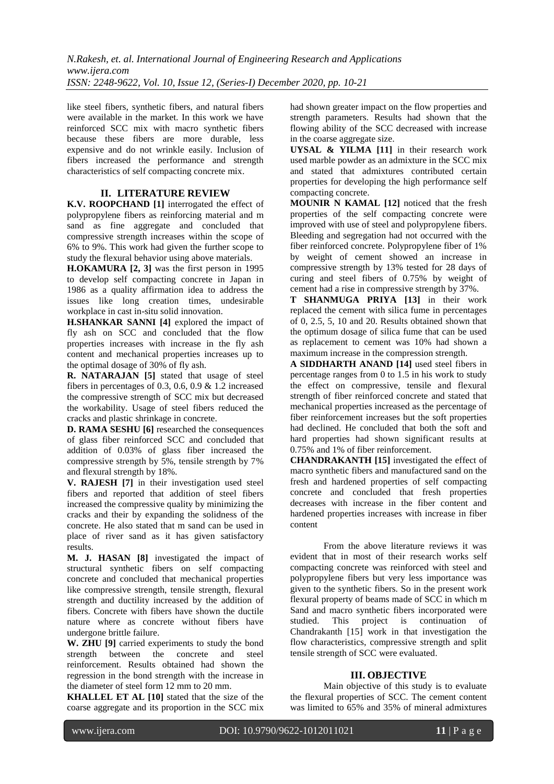like steel fibers, synthetic fibers, and natural fibers were available in the market. In this work we have reinforced SCC mix with macro synthetic fibers because these fibers are more durable, less expensive and do not wrinkle easily. Inclusion of fibers increased the performance and strength characteristics of self compacting concrete mix.

#### **II. LITERATURE REVIEW**

**K.V. ROOPCHAND [1]** interrogated the effect of polypropylene fibers as reinforcing material and m sand as fine aggregate and concluded that compressive strength increases within the scope of 6% to 9%. This work had given the further scope to study the flexural behavior using above materials.

**H.OKAMURA [2, 3]** was the first person in 1995 to develop self compacting concrete in Japan in 1986 as a quality affirmation idea to address the issues like long creation times, undesirable workplace in cast in-situ solid innovation.

**H.SHANKAR SANNI [4]** explored the impact of fly ash on SCC and concluded that the flow properties increases with increase in the fly ash content and mechanical properties increases up to the optimal dosage of 30% of fly ash.

**R. NATARAJAN [5]** stated that usage of steel fibers in percentages of 0.3, 0.6, 0.9  $& 1.2$  increased the compressive strength of SCC mix but decreased the workability. Usage of steel fibers reduced the cracks and plastic shrinkage in concrete.

**D. RAMA SESHU [6]** researched the consequences of glass fiber reinforced SCC and concluded that addition of 0.03% of glass fiber increased the compressive strength by 5%, tensile strength by 7% and flexural strength by 18%.

**V. RAJESH [7]** in their investigation used steel fibers and reported that addition of steel fibers increased the compressive quality by minimizing the cracks and their by expanding the solidness of the concrete. He also stated that m sand can be used in place of river sand as it has given satisfactory results.

**M. J. HASAN [8]** investigated the impact of structural synthetic fibers on self compacting concrete and concluded that mechanical properties like compressive strength, tensile strength, flexural strength and ductility increased by the addition of fibers. Concrete with fibers have shown the ductile nature where as concrete without fibers have undergone brittle failure.

**W. ZHU [9]** carried experiments to study the bond strength between the concrete and steel reinforcement. Results obtained had shown the regression in the bond strength with the increase in the diameter of steel form 12 mm to 20 mm.

**KHALLEL ET AL [10]** stated that the size of the coarse aggregate and its proportion in the SCC mix had shown greater impact on the flow properties and strength parameters. Results had shown that the flowing ability of the SCC decreased with increase in the coarse aggregate size.

**UYSAL & YILMA [11]** in their research work used marble powder as an admixture in the SCC mix and stated that admixtures contributed certain properties for developing the high performance self compacting concrete.

**MOUNIR N KAMAL [12]** noticed that the fresh properties of the self compacting concrete were improved with use of steel and polypropylene fibers. Bleeding and segregation had not occurred with the fiber reinforced concrete. Polypropylene fiber of 1% by weight of cement showed an increase in compressive strength by 13% tested for 28 days of curing and steel fibers of 0.75% by weight of cement had a rise in compressive strength by 37%.

**T SHANMUGA PRIYA [13]** in their work replaced the cement with silica fume in percentages of 0, 2.5, 5, 10 and 20. Results obtained shown that the optimum dosage of silica fume that can be used as replacement to cement was 10% had shown a maximum increase in the compression strength.

**A SIDDHARTH ANAND [14]** used steel fibers in percentage ranges from 0 to 1.5 in his work to study the effect on compressive, tensile and flexural strength of fiber reinforced concrete and stated that mechanical properties increased as the percentage of fiber reinforcement increases but the soft properties had declined. He concluded that both the soft and hard properties had shown significant results at 0.75% and 1% of fiber reinforcement.

**CHANDRAKANTH [15]** investigated the effect of macro synthetic fibers and manufactured sand on the fresh and hardened properties of self compacting concrete and concluded that fresh properties decreases with increase in the fiber content and hardened properties increases with increase in fiber content

From the above literature reviews it was evident that in most of their research works self compacting concrete was reinforced with steel and polypropylene fibers but very less importance was given to the synthetic fibers. So in the present work flexural property of beams made of SCC in which m Sand and macro synthetic fibers incorporated were studied. This project is continuation of Chandrakanth [15] work in that investigation the flow characteristics, compressive strength and split tensile strength of SCC were evaluated.

#### **III. OBJECTIVE**

Main objective of this study is to evaluate the flexural properties of SCC. The cement content was limited to 65% and 35% of mineral admixtures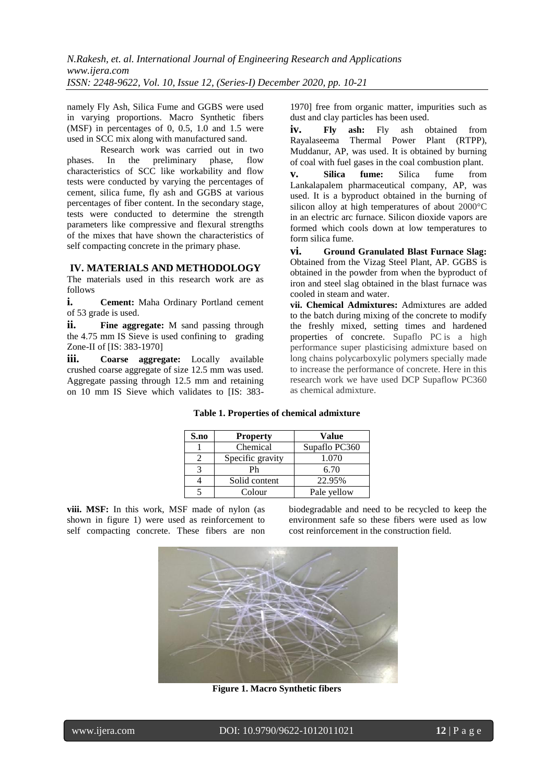namely Fly Ash, Silica Fume and GGBS were used in varying proportions. Macro Synthetic fibers (MSF) in percentages of 0, 0.5, 1.0 and 1.5 were used in SCC mix along with manufactured sand.

Research work was carried out in two phases. In the preliminary phase, flow characteristics of SCC like workability and flow tests were conducted by varying the percentages of cement, silica fume, fly ash and GGBS at various percentages of fiber content. In the secondary stage, tests were conducted to determine the strength parameters like compressive and flexural strengths of the mixes that have shown the characteristics of self compacting concrete in the primary phase.

#### **IV. MATERIALS AND METHODOLOGY**

The materials used in this research work are as follows

**i. Cement:** Maha Ordinary Portland cement of 53 grade is used.

**ii. Fine aggregate:** M sand passing through the 4.75 mm IS Sieve is used confining to grading Zone-II of [IS: 383-1970]

**iii. Coarse aggregate:** Locally available crushed coarse aggregate of size 12.5 mm was used. Aggregate passing through 12.5 mm and retaining on 10 mm IS Sieve which validates to [IS: 3831970] free from organic matter, impurities such as dust and clay particles has been used.

iv. Fly ash: Fly ash obtained from Rayalaseema Thermal Power Plant (RTPP), Muddanur, AP, was used. It is obtained by burning of coal with fuel gases in the coal combustion plant.

**v. Silica fume:** Silica fume from Lankalapalem pharmaceutical company, AP, was used. It is a byproduct obtained in the burning of silicon alloy at high temperatures of about 2000°C in an electric arc furnace. Silicon dioxide vapors are formed which cools down at low temperatures to form silica fume.

**vi. Ground Granulated Blast Furnace Slag:** Obtained from the Vizag Steel Plant, AP. GGBS is obtained in the powder from when the byproduct of iron and steel slag obtained in the blast furnace was cooled in steam and water.

**vii. Chemical Admixtures:** Admixtures are added to the batch during mixing of the concrete to modify the freshly mixed, setting times and hardened properties of concrete. Supaflo PC is a high performance super plasticising admixture based on long chains polycarboxylic polymers specially made to increase the performance of concrete. Here in this research work we have used DCP Supaflow PC360 as chemical admixture.

#### **Table 1. Properties of chemical admixture**

| S.no | <b>Property</b>  | Value         |
|------|------------------|---------------|
|      | Chemical         | Supaflo PC360 |
|      | Specific gravity | 1.070         |
|      | Ph               | 6.70          |
|      | Solid content    | 22.95%        |
|      | Colour           | Pale yellow   |

**viii. MSF:** In this work, MSF made of nylon (as shown in figure 1) were used as reinforcement to self compacting concrete. These fibers are non

biodegradable and need to be recycled to keep the environment safe so these fibers were used as low cost reinforcement in the construction field.



**Figure 1. Macro Synthetic fibers**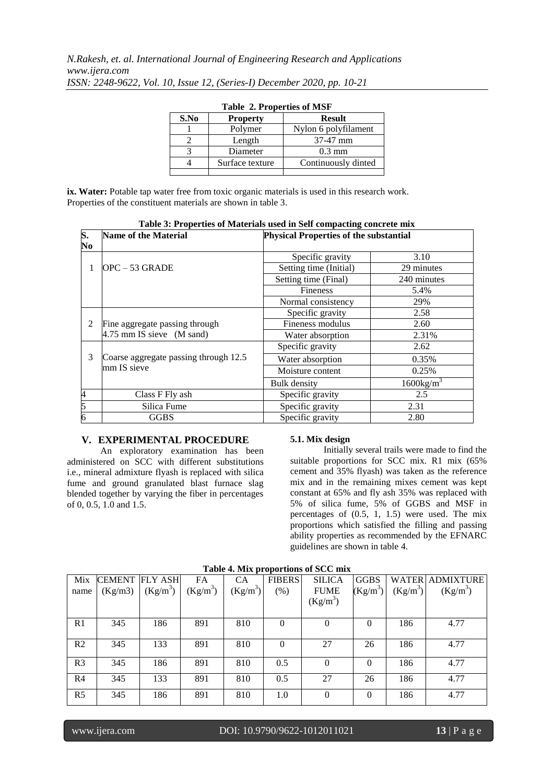| S.No | <b>Property</b> | <b>Result</b>        |
|------|-----------------|----------------------|
|      | Polymer         | Nylon 6 polyfilament |
|      | Length          | 37-47 mm             |
|      | Diameter        | $0.3 \text{ mm}$     |
|      | Surface texture | Continuously dinted  |
|      |                 |                      |

|  |  |  | <b>Table 2. Properties of MSF</b> |  |  |
|--|--|--|-----------------------------------|--|--|
|--|--|--|-----------------------------------|--|--|

**ix. Water:** Potable tap water free from toxic organic materials is used in this research work. Properties of the constituent materials are shown in table 3.

| S.             | Table 5. I ruperties of materials used in Self compacting concrete linx<br><b>Name of the Material</b> | <b>Physical Properties of the substantial</b> |                     |  |
|----------------|--------------------------------------------------------------------------------------------------------|-----------------------------------------------|---------------------|--|
|                |                                                                                                        |                                               |                     |  |
| No             |                                                                                                        |                                               |                     |  |
|                |                                                                                                        | Specific gravity                              | 3.10                |  |
| 1              | $OPC - 53$ GRADE                                                                                       | Setting time (Initial)                        | 29 minutes          |  |
|                |                                                                                                        | Setting time (Final)                          | 240 minutes         |  |
|                |                                                                                                        | <b>Fineness</b>                               | 5.4%                |  |
|                |                                                                                                        | Normal consistency                            | 29%                 |  |
|                |                                                                                                        | Specific gravity                              | 2.58                |  |
| 2              | Fine aggregate passing through                                                                         | Fineness modulus                              | 2.60                |  |
|                | 4.75 mm IS sieve (M sand)                                                                              | Water absorption                              | 2.31%               |  |
|                |                                                                                                        | Specific gravity                              | 2.62                |  |
| 3              | Coarse aggregate passing through 12.5                                                                  | Water absorption                              | 0.35%               |  |
|                | mm IS sieve                                                                                            | Moisture content                              | 0.25%               |  |
|                |                                                                                                        | Bulk density                                  | $1600\text{kg/m}^3$ |  |
| $\overline{4}$ | Class F Fly ash                                                                                        | Specific gravity                              | 2.5                 |  |
| 5              | Silica Fume                                                                                            | Specific gravity                              | 2.31                |  |
| 6              | <b>GGBS</b>                                                                                            | Specific gravity                              | 2.80                |  |

**Table 3: Properties of Materials used in Self compacting concrete mix**

#### **V. EXPERIMENTAL PROCEDURE**

An exploratory examination has been administered on SCC with different substitutions i.e., mineral admixture flyash is replaced with silica fume and ground granulated blast furnace slag blended together by varying the fiber in percentages of 0, 0.5, 1.0 and 1.5.

#### **5.1. Mix design**

Initially several trails were made to find the suitable proportions for SCC mix. R1 mix (65% cement and 35% flyash) was taken as the reference mix and in the remaining mixes cement was kept constant at 65% and fly ash 35% was replaced with 5% of silica fume, 5% of GGBS and MSF in percentages of (0.5, 1, 1.5) were used. The mix proportions which satisfied the filling and passing ability properties as recommended by the EFNARC guidelines are shown in table 4.

|                |               |                |            |            |                | Tuble - with proportions of See mix |             |            |                        |
|----------------|---------------|----------------|------------|------------|----------------|-------------------------------------|-------------|------------|------------------------|
| Mix            | <b>CEMENT</b> | <b>FLY ASH</b> | FA         | СA         | <b>FIBERS</b>  | <b>SILICA</b>                       | <b>GGBS</b> |            | <b>WATER ADMIXTURE</b> |
| name           | (Kg/m3)       | $(Kg/m^3)$     | $(Kg/m^3)$ | $(Kg/m^3)$ | (% )           | <b>FUME</b>                         | $(Kg/m^3)$  | $(Kg/m^3)$ | $(Kg/m^3)$             |
|                |               |                |            |            |                | $(Kg/m^3)$                          |             |            |                        |
|                |               |                |            |            |                |                                     |             |            |                        |
| R <sub>1</sub> | 345           | 186            | 891        | 810        | $\overline{0}$ | 0                                   | $\Omega$    | 186        | 4.77                   |
|                |               |                |            |            |                |                                     |             |            |                        |
| R <sub>2</sub> | 345           | 133            | 891        | 810        | $\overline{0}$ | 27                                  | 26          | 186        | 4.77                   |
|                |               |                |            |            |                |                                     |             |            |                        |
| R <sub>3</sub> | 345           | 186            | 891        | 810        | 0.5            | 0                                   | $\Omega$    | 186        | 4.77                   |
| R <sub>4</sub> | 345           | 133            | 891        | 810        | 0.5            | 27                                  | 26          | 186        | 4.77                   |
|                |               |                |            |            |                |                                     |             |            |                        |
| R <sub>5</sub> | 345           | 186            | 891        | 810        | 1.0            | $\theta$                            | $\Omega$    | 186        | 4.77                   |
|                |               |                |            |            |                |                                     |             |            |                        |

#### **Table 4. Mix proportions of SCC mix**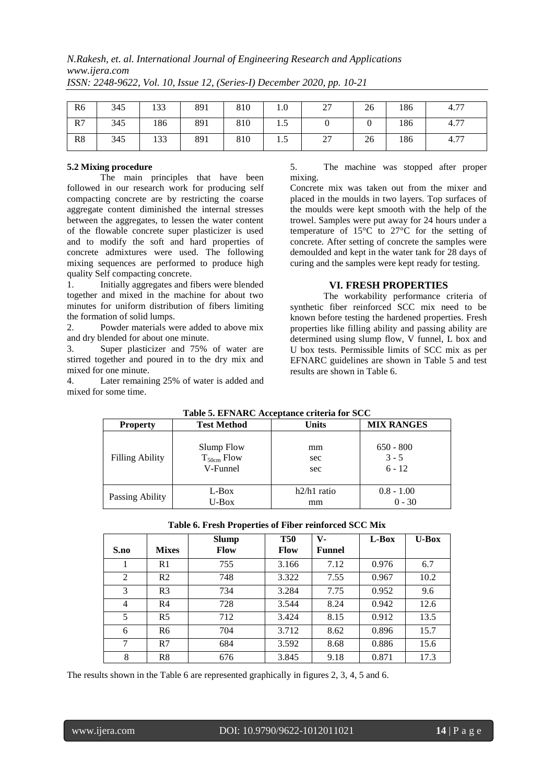## *N.Rakesh, et. al. International Journal of Engineering Research and Applications www.ijera.com*

| R <sub>6</sub> | 345 | 133 | 891 | 810 | 1.0 | 27<br>$\overline{\phantom{a}}$ | 26 | 186 | 4.77 |
|----------------|-----|-----|-----|-----|-----|--------------------------------|----|-----|------|
| R7             | 345 | 186 | 891 | 810 | 1.5 |                                |    | 186 | 4.77 |
| R8             | 345 | 133 | 891 | 810 | 1.5 | 27                             | 26 | 186 | 4.77 |

*ISSN: 2248-9622, Vol. 10, Issue 12, (Series-I) December 2020, pp. 10-21*

#### **5.2 Mixing procedure**

The main principles that have been followed in our research work for producing self compacting concrete are by restricting the coarse aggregate content diminished the internal stresses between the aggregates, to lessen the water content of the flowable concrete super plasticizer is used and to modify the soft and hard properties of concrete admixtures were used. The following mixing sequences are performed to produce high quality Self compacting concrete.

1. Initially aggregates and fibers were blended together and mixed in the machine for about two minutes for uniform distribution of fibers limiting the formation of solid lumps.

2. Powder materials were added to above mix and dry blended for about one minute.

3. Super plasticizer and 75% of water are stirred together and poured in to the dry mix and mixed for one minute.

4. Later remaining 25% of water is added and mixed for some time.

5. The machine was stopped after proper mixing.

Concrete mix was taken out from the mixer and placed in the moulds in two layers. Top surfaces of the moulds were kept smooth with the help of the trowel. Samples were put away for 24 hours under a temperature of 15°C to 27°C for the setting of concrete. After setting of concrete the samples were demoulded and kept in the water tank for 28 days of curing and the samples were kept ready for testing.

### **VI. FRESH PROPERTIES**

The workability performance criteria of synthetic fiber reinforced SCC mix need to be known before testing the hardened properties. Fresh properties like filling ability and passing ability are determined using slump flow, V funnel, L box and U box tests. Permissible limits of SCC mix as per EFNARC guidelines are shown in Table 5 and test results are shown in Table 6.

| <b>Property</b>        | Table 5. EFNARC Acceptance criteria for SCC<br><b>Test Method</b> | <b>Units</b>  | <b>MIX RANGES</b> |
|------------------------|-------------------------------------------------------------------|---------------|-------------------|
|                        |                                                                   |               |                   |
| <b>Filling Ability</b> | Slump Flow                                                        | mm            | $650 - 800$       |
|                        | $T_{50cm}$ Flow                                                   | sec           | $3 - 5$           |
|                        | V-Funnel                                                          | sec           | $6 - 12$          |
| Passing Ability        | L-Box                                                             | $h2/h1$ ratio | $0.8 - 1.00$      |
|                        | $U$ -Box                                                          | mm            | $0 - 30$          |

## **Table 5. EFNARC Acceptance criteria for SCC**

|  | Table 6. Fresh Properties of Fiber reinforced SCC Mix |  |  |  |
|--|-------------------------------------------------------|--|--|--|
|--|-------------------------------------------------------|--|--|--|

| S.no           | <b>Mixes</b>   | <b>Slump</b><br>Flow | <b>T50</b><br>Flow | V-<br><b>Funnel</b> | L-Box | $U$ -Box |
|----------------|----------------|----------------------|--------------------|---------------------|-------|----------|
|                | R <sub>1</sub> | 755                  | 3.166              | 7.12                | 0.976 | 6.7      |
| 2              | R <sub>2</sub> | 748                  | 3.322              | 7.55                | 0.967 | 10.2     |
| 3              | R <sub>3</sub> | 734                  | 3.284              | 7.75                | 0.952 | 9.6      |
| $\overline{4}$ | R <sub>4</sub> | 728                  | 3.544              | 8.24                | 0.942 | 12.6     |
| 5              | R <sub>5</sub> | 712                  | 3.424              | 8.15                | 0.912 | 13.5     |
| 6              | R <sub>6</sub> | 704                  | 3.712              | 8.62                | 0.896 | 15.7     |
| 7              | R7             | 684                  | 3.592              | 8.68                | 0.886 | 15.6     |
| 8              | R8             | 676                  | 3.845              | 9.18                | 0.871 | 17.3     |

The results shown in the Table 6 are represented graphically in figures 2, 3, 4, 5 and 6.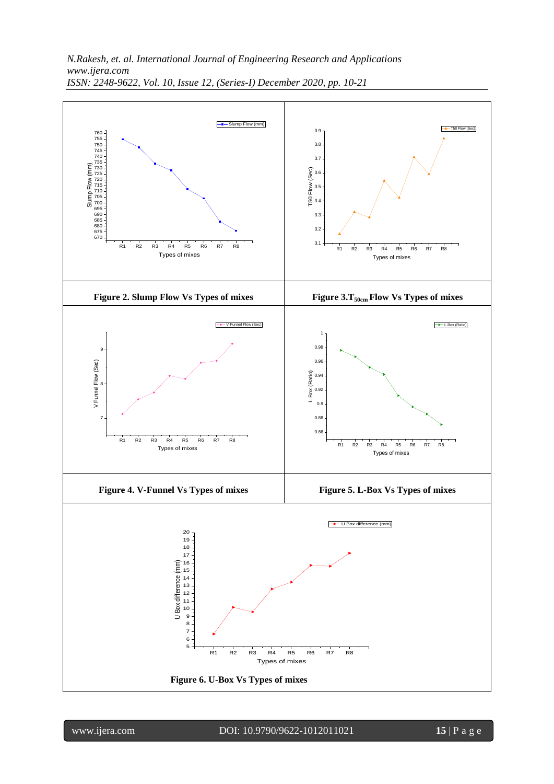

www.ijera.com DOI: 10.9790/9622-1012011021 **15** | P a g e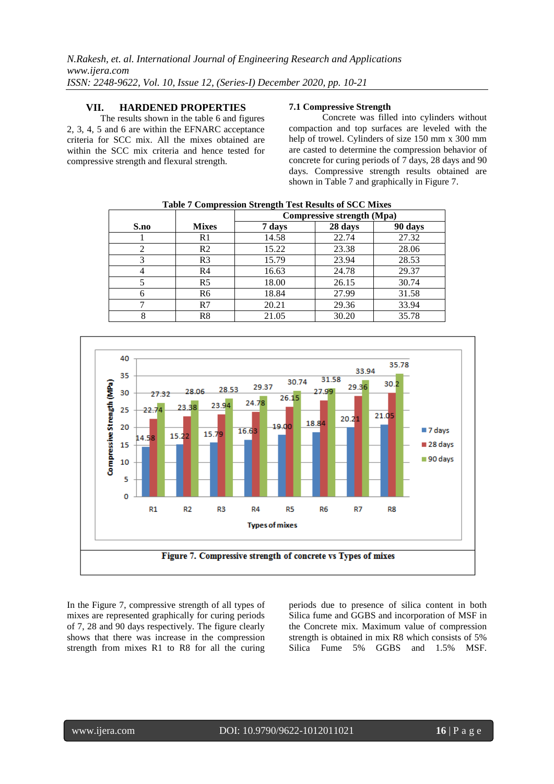#### **VII. HARDENED PROPERTIES**

The results shown in the table 6 and figures 2, 3, 4, 5 and 6 are within the EFNARC acceptance criteria for SCC mix. All the mixes obtained are within the SCC mix criteria and hence tested for compressive strength and flexural strength.

#### **7.1 Compressive Strength**

Concrete was filled into cylinders without compaction and top surfaces are leveled with the help of trowel. Cylinders of size 150 mm x 300 mm are casted to determine the compression behavior of concrete for curing periods of 7 days, 28 days and 90 days. Compressive strength results obtained are shown in Table 7 and graphically in Figure 7.

| <b>Table 7 Compression Strength Test Results of SCC Mixes</b> |                |        |                                   |         |  |  |
|---------------------------------------------------------------|----------------|--------|-----------------------------------|---------|--|--|
|                                                               |                |        | <b>Compressive strength (Mpa)</b> |         |  |  |
| S.no                                                          | <b>Mixes</b>   | 7 days | 28 days                           | 90 days |  |  |
|                                                               | R1             | 14.58  | 22.74                             | 27.32   |  |  |
| $\mathfrak{D}$                                                | R <sub>2</sub> | 15.22  | 23.38                             | 28.06   |  |  |
| 3                                                             | R <sub>3</sub> | 15.79  | 23.94                             | 28.53   |  |  |
|                                                               | R <sub>4</sub> | 16.63  | 24.78                             | 29.37   |  |  |
|                                                               | R <sub>5</sub> | 18.00  | 26.15                             | 30.74   |  |  |
|                                                               | R <sub>6</sub> | 18.84  | 27.99                             | 31.58   |  |  |
|                                                               | R7             | 20.21  | 29.36                             | 33.94   |  |  |
| 8                                                             | R8             | 21.05  | 30.20                             | 35.78   |  |  |



In the Figure 7, compressive strength of all types of mixes are represented graphically for curing periods of 7, 28 and 90 days respectively. The figure clearly shows that there was increase in the compression strength from mixes R1 to R8 for all the curing

periods due to presence of silica content in both Silica fume and GGBS and incorporation of MSF in the Concrete mix. Maximum value of compression strength is obtained in mix R8 which consists of 5% Silica Fume 5% GGBS and 1.5% MSF.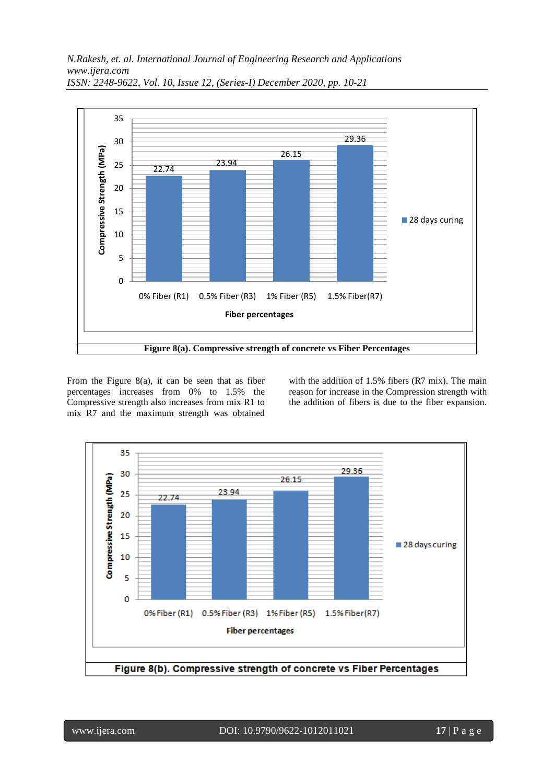

From the Figure 8(a), it can be seen that as fiber percentages increases from 0% to 1.5% the Compressive strength also increases from mix R1 to mix R7 and the maximum strength was obtained

with the addition of 1.5% fibers (R7 mix). The main reason for increase in the Compression strength with the addition of fibers is due to the fiber expansion.

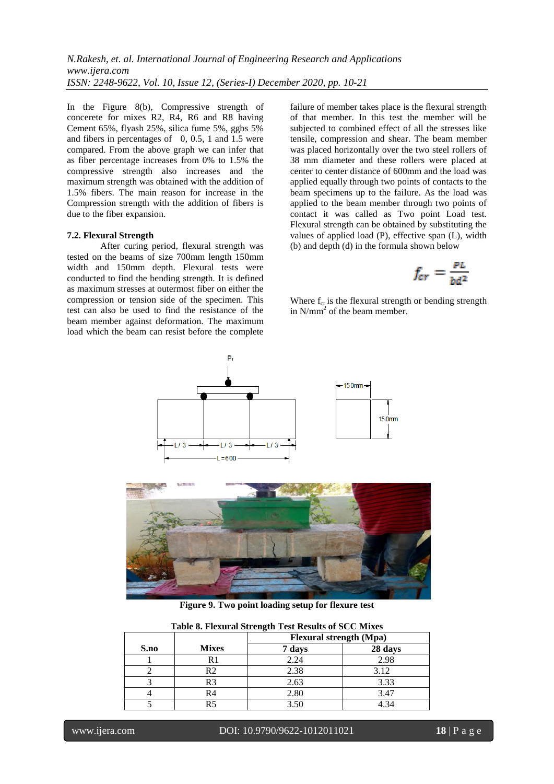In the Figure 8(b), Compressive strength of concerete for mixes R2, R4, R6 and R8 having Cement 65%, flyash 25%, silica fume 5%, ggbs 5% and fibers in percentages of 0, 0.5, 1 and 1.5 were compared. From the above graph we can infer that as fiber percentage increases from 0% to 1.5% the compressive strength also increases and the maximum strength was obtained with the addition of 1.5% fibers. The main reason for increase in the Compression strength with the addition of fibers is due to the fiber expansion.

#### **7.2. Flexural Strength**

After curing period, flexural strength was tested on the beams of size 700mm length 150mm width and 150mm depth. Flexural tests were conducted to find the bending strength. It is defined as maximum stresses at outermost fiber on either the compression or tension side of the specimen. This test can also be used to find the resistance of the beam member against deformation. The maximum load which the beam can resist before the complete

failure of member takes place is the flexural strength of that member. In this test the member will be subjected to combined effect of all the stresses like tensile, compression and shear. The beam member was placed horizontally over the two steel rollers of 38 mm diameter and these rollers were placed at center to center distance of 600mm and the load was applied equally through two points of contacts to the beam specimens up to the failure. As the load was applied to the beam member through two points of contact it was called as Two point Load test. Flexural strength can be obtained by substituting the values of applied load (P), effective span (L), width (b) and depth (d) in the formula shown below

$$
f_{cr} = \frac{PL}{bd^2}
$$

Where  $f_{cr}$  is the flexural strength or bending strength in N/mm<sup>2</sup> of the beam member.



**Figure 9. Two point loading setup for flexure test**

|      |                | <b>Flexural strength (Mpa)</b> |         |  |
|------|----------------|--------------------------------|---------|--|
| S.no | <b>Mixes</b>   | 7 days                         | 28 days |  |
|      | R1             | 2.24                           | 2.98    |  |
|      | R2             | 2.38                           | 3.12    |  |
|      | R <sub>3</sub> | 2.63                           | 3.33    |  |
|      | R4             | 2.80                           | 3.47    |  |
|      |                | 3.50                           | 4.34    |  |

**Table 8. Flexural Strength Test Results of SCC Mixes**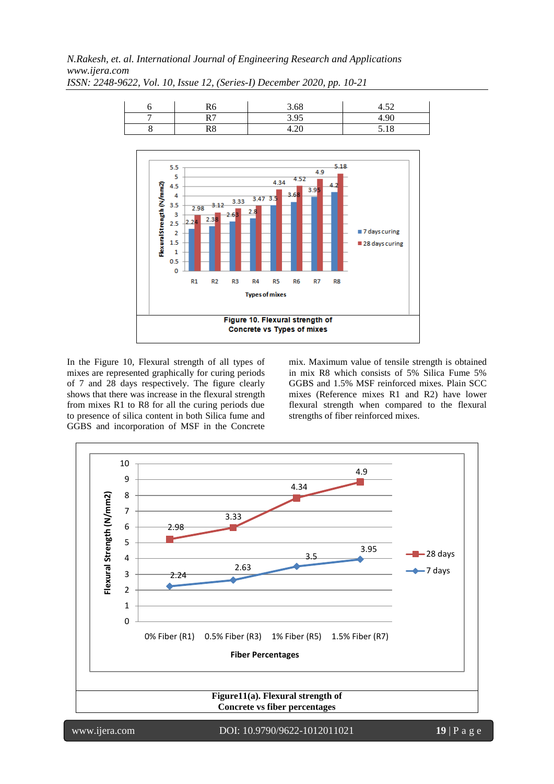*N.Rakesh, et. al. International Journal of Engineering Research and Applications www.ijera.com*



*ISSN: 2248-9622, Vol. 10, Issue 12, (Series-I) December 2020, pp. 10-21*

In the Figure 10, Flexural strength of all types of mixes are represented graphically for curing periods of 7 and 28 days respectively. The figure clearly shows that there was increase in the flexural strength from mixes R1 to R8 for all the curing periods due to presence of silica content in both Silica fume and GGBS and incorporation of MSF in the Concrete

mix. Maximum value of tensile strength is obtained in mix R8 which consists of 5% Silica Fume 5% GGBS and 1.5% MSF reinforced mixes. Plain SCC mixes (Reference mixes R1 and R2) have lower flexural strength when compared to the flexural strengths of fiber reinforced mixes.

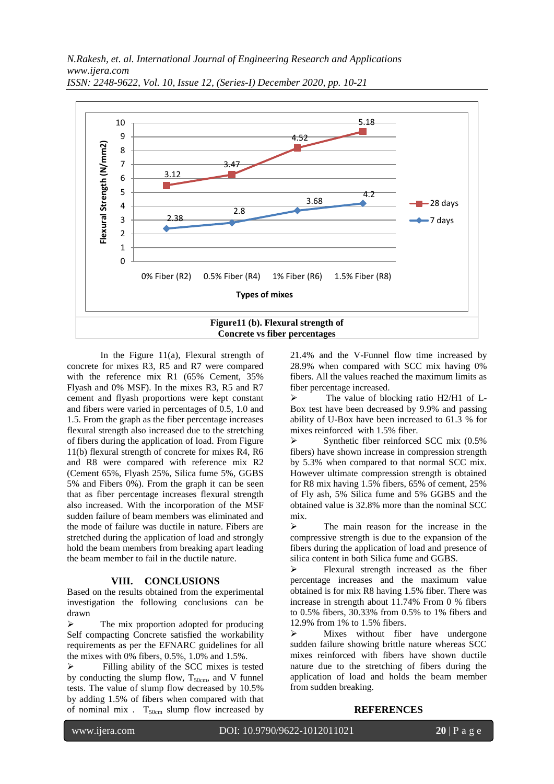

*ISSN: 2248-9622, Vol. 10, Issue 12, (Series-I) December 2020, pp. 10-21*

In the Figure 11(a), Flexural strength of concrete for mixes R3, R5 and R7 were compared with the reference mix R1 (65% Cement, 35% Flyash and 0% MSF). In the mixes R3, R5 and R7 cement and flyash proportions were kept constant and fibers were varied in percentages of 0.5, 1.0 and 1.5. From the graph as the fiber percentage increases flexural strength also increased due to the stretching of fibers during the application of load. From Figure 11(b) flexural strength of concrete for mixes R4, R6 and R8 were compared with reference mix R2 (Cement 65%, Flyash 25%, Silica fume 5%, GGBS 5% and Fibers 0%). From the graph it can be seen that as fiber percentage increases flexural strength also increased. With the incorporation of the MSF sudden failure of beam members was eliminated and the mode of failure was ductile in nature. Fibers are stretched during the application of load and strongly hold the beam members from breaking apart leading the beam member to fail in the ductile nature.

#### **VIII. CONCLUSIONS**

Based on the results obtained from the experimental investigation the following conclusions can be drawn

 $\triangleright$  The mix proportion adopted for producing Self compacting Concrete satisfied the workability requirements as per the EFNARC guidelines for all the mixes with 0% fibers, 0.5%, 1.0% and 1.5%.

 Filling ability of the SCC mixes is tested by conducting the slump flow,  $T_{50cm}$ , and V funnel tests. The value of slump flow decreased by 10.5% by adding 1.5% of fibers when compared with that of nominal mix .  $T_{50cm}$  slump flow increased by

21.4% and the V-Funnel flow time increased by 28.9% when compared with SCC mix having 0% fibers. All the values reached the maximum limits as fiber percentage increased.

 $\triangleright$  The value of blocking ratio H2/H1 of L-Box test have been decreased by 9.9% and passing ability of U-Box have been increased to 61.3 % for mixes reinforced with 1.5% fiber.

 $\triangleright$  Synthetic fiber reinforced SCC mix (0.5%) fibers) have shown increase in compression strength by 5.3% when compared to that normal SCC mix. However ultimate compression strength is obtained for R8 mix having 1.5% fibers, 65% of cement, 25% of Fly ash, 5% Silica fume and 5% GGBS and the obtained value is 32.8% more than the nominal SCC mix.

 $\triangleright$  The main reason for the increase in the compressive strength is due to the expansion of the fibers during the application of load and presence of silica content in both Silica fume and GGBS.

 $\triangleright$  Flexural strength increased as the fiber percentage increases and the maximum value obtained is for mix R8 having 1.5% fiber. There was increase in strength about 11.74% From 0 % fibers to 0.5% fibers, 30.33% from 0.5% to 1% fibers and 12.9% from 1% to 1.5% fibers.

 $\triangleright$  Mixes without fiber have undergone sudden failure showing brittle nature whereas SCC mixes reinforced with fibers have shown ductile nature due to the stretching of fibers during the application of load and holds the beam member from sudden breaking.

**REFERENCES**